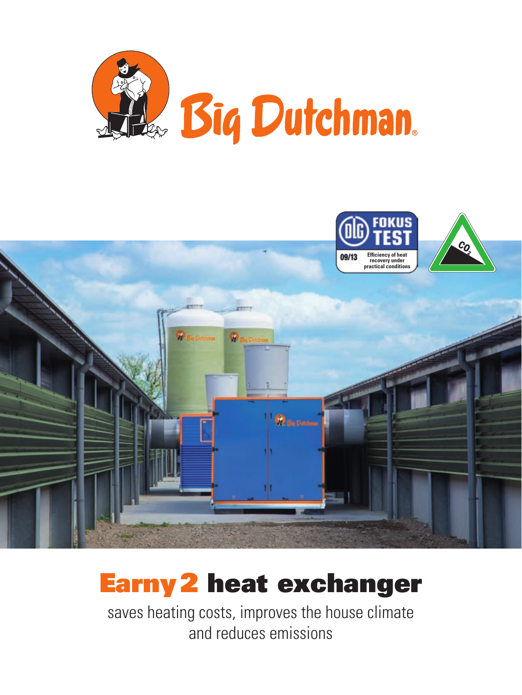



# Earny2 heat exchanger

saves heating costs, improves the house climate and reduces emissions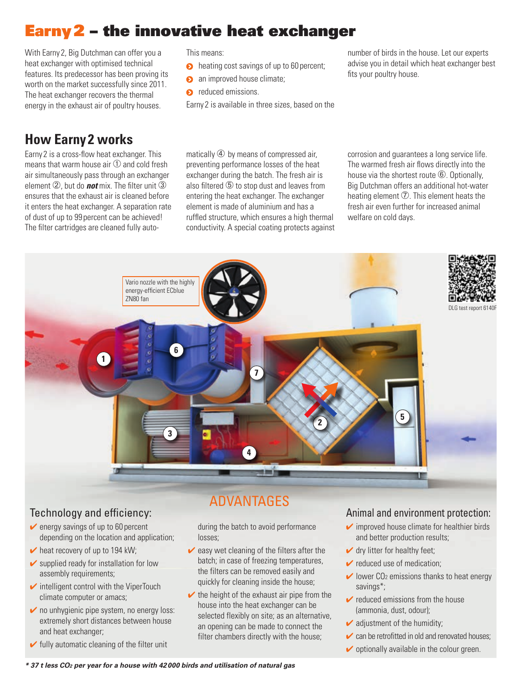## Earny2 – the innovative heat exchanger

With Earny 2, Big Dutchman can offer you a heat exchanger with optimised technical features. Its predecessor has been proving its worth on the market successfully since 2011. The heat exchanger recovers the thermal energy in the exhaust air of poultry houses.

### **How Earny 2 works**

Earny 2 is a cross-flow heat exchanger. This means that warm house air ① and cold fresh air simultaneously pass through an exchanger element ②, but do *not* mix. The filter unit ③ ensures that the exhaust air is cleaned before it enters the heat exchanger. A separation rate of dust of up to 99 percent can be achieved! The filter cartridges are cleaned fully autoThis means:

- **O** heating cost savings of up to 60 percent;
- **a** an improved house climate;
- $\bullet$  reduced emissions.

Earny 2 is available in three sizes, based on the

number of birds in the house. Let our experts advise you in detail which heat exchanger best fits your poultry house.

matically  $\Phi$  by means of compressed air. preventing performance losses of the heat exchanger during the batch. The fresh air is also filtered  $\odot$  to stop dust and leaves from entering the heat exchanger. The exchanger element is made of aluminium and has a ruffled structure, which ensures a high thermal conductivity. A special coating protects against corrosion and guarantees a long service life. The warmed fresh air flows directly into the house via the shortest route *C*. Optionally, Big Dutchman offers an additional hot-water heating element  $\overline{O}$ . This element heats the fresh air even further for increased animal welfare on cold days.



- $\vee$  energy savings of up to 60 percent depending on the location and application;
- $\blacktriangleright$  heat recovery of up to 194 kW;
- $\triangleright$  supplied ready for installation for low assembly requirements;
- $\triangleright$  intelligent control with the ViperTouch climate computer or amacs;
- $\triangleright$  no unhygienic pipe system, no energy loss: extremely short distances between house and heat exchanger;
- $\blacktriangleright$  fully automatic cleaning of the filter unit

### ADVANTAGES

during the batch to avoid performance losses;

- $\vee$  easy wet cleaning of the filters after the batch; in case of freezing temperatures, the filters can be removed easily and quickly for cleaning inside the house;
- $\triangleright$  the height of the exhaust air pipe from the house into the heat exchanger can be selected flexibly on site; as an alternative, an opening can be made to connect the filter chambers directly with the house;

#### Technology and efficiency: Technology and efficiency:

- $\triangleright$  improved house climate for healthier birds and better production results;
- $\checkmark$  dry litter for healthy feet;
- $\triangleright$  reduced use of medication:
- $\vee$  lower CO<sub>2</sub> emissions thanks to heat energy savings\*;
- $\triangleright$  reduced emissions from the house (ammonia, dust, odour);
- $\triangleright$  adjustment of the humidity;
- $\triangleright$  can be retrofitted in old and renovated houses;
	- $\triangleright$  optionally available in the colour green.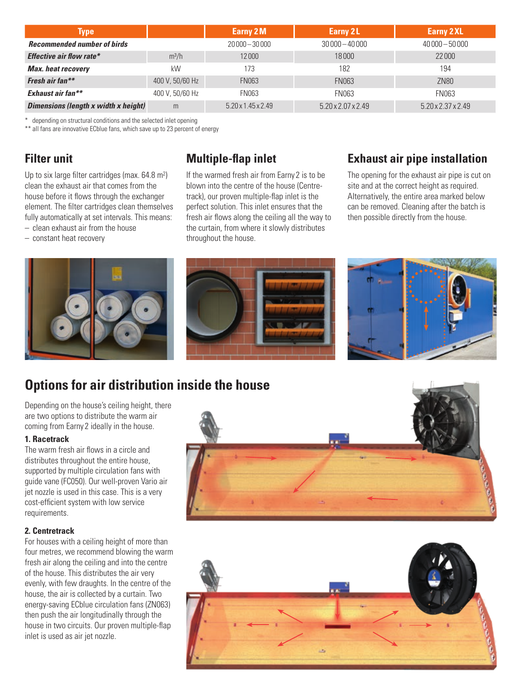| <b>Type</b>                                 |                 | Earny 2M                       | Earny 2L           | <b>Earny 2 XL</b>  |
|---------------------------------------------|-----------------|--------------------------------|--------------------|--------------------|
| <b>Recommended number of birds</b>          |                 | $20000 - 30000$                | $30000 - 40000$    | $40000 - 50000$    |
| Effective air flow rate*                    | $m^3/h$         | 12000                          | 18000              | 22000              |
| <b>Max.</b> heat recovery                   | kW              | 173                            | 182                | 194                |
| Fresh air fan**                             | 400 V, 50/60 Hz | <b>FN063</b>                   | <b>FN063</b>       | <b>ZN80</b>        |
| Exhaust air fan**                           | 400 V, 50/60 Hz | <b>FN063</b>                   | <b>FN063</b>       | <b>FN063</b>       |
| <b>Dimensions (length x width x height)</b> | m               | $5.20 \times 1.45 \times 2.49$ | 5.20 x 2.07 x 2.49 | 5.20 x 2.37 x 2.49 |

\* depending on structural conditions and the selected inlet opening

\*\* all fans are innovative ECblue fans, which save up to 23 percent of energy

### **Filter unit**

Up to six large filter cartridges (max. 64.8 m2) clean the exhaust air that comes from the house before it flows through the exchanger element. The filter cartridges clean themselves fully automatically at set intervals. This means: – clean exhaust air from the house

– constant heat recovery

### **Multiple-flap inlet**

If the warmed fresh air from Earny 2 is to be blown into the centre of the house (Centretrack), our proven multiple-flap inlet is the perfect solution. This inlet ensures that the fresh air flows along the ceiling all the way to the curtain, from where it slowly distributes throughout the house.

### **Exhaust air pipe installation**

The opening for the exhaust air pipe is cut on site and at the correct height as required. Alternatively, the entire area marked below can be removed. Cleaning after the batch is then possible directly from the house.



### **Options for air distribution inside the house**

Depending on the house's ceiling height, there are two options to distribute the warm air coming from Earny 2 ideally in the house.

#### **1. Racetrack**

The warm fresh air flows in a circle and distributes throughout the entire house, supported by multiple circulation fans with guide vane (FC050). Our well-proven Vario air jet nozzle is used in this case. This is a very cost-efficient system with low service requirements.

#### **2. Centretrack**

For houses with a ceiling height of more than four metres, we recommend blowing the warm fresh air along the ceiling and into the centre of the house. This distributes the air very evenly, with few draughts. In the centre of the house, the air is collected by a curtain. Two energy-saving ECblue circulation fans (ZN063) then push the air longitudinally through the house in two circuits. Our proven multiple-flap inlet is used as air jet nozzle.